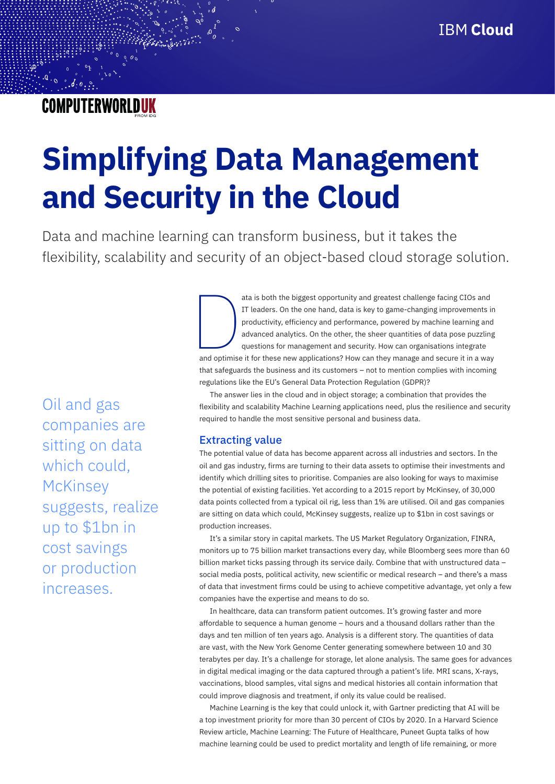## **COMPUTERWORLDUK**

# **Simplifying Data Management and Security in the Cloud**

Data and machine learning can transform business, but it takes the flexibility, scalability and security of an object-based cloud storage solution.

Oil and gas companies are sitting on data which could, **McKinsey** suggests, realize up to \$1bn in cost savings or production increases.

ata is both the biggest opportunity and greatest challenge facing CIOs and<br>IT leaders. On the one hand, data is key to game-changing improvements is<br>productivity, efficiency and performance, powered by machine learning and IT leaders. On the one hand, data is key to game-changing improvements in productivity, efficiency and performance, powered by machine learning and advanced analytics. On the other, the sheer quantities of data pose puzzling questions for management and security. How can organisations integrate and optimise it for these new applications? How can they manage and secure it in a way that safeguards the business and its customers – not to mention complies with incoming regulations like the EU's General Data Protection Regulation (GDPR)?

The answer lies in the cloud and in object storage; a combination that provides the flexibility and scalability Machine Learning applications need, plus the resilience and security required to handle the most sensitive personal and business data.

### Extracting value

The potential value of data has become apparent across all industries and sectors. In the oil and gas industry, firms are turning to their data assets to optimise their investments and identify which drilling sites to prioritise. Companies are also looking for ways to maximise the potential of existing facilities. Yet according to a 2015 report by McKinsey, of 30,000 data points collected from a typical oil rig, less than 1% are utilised. Oil and gas companies are sitting on data which could, McKinsey suggests, realize up to \$1bn in cost savings or production increases.

It's a similar story in capital markets. The US Market Regulatory Organization, FINRA, monitors up to 75 billion market transactions every day, while Bloomberg sees more than 60 billion market ticks passing through its service daily. Combine that with unstructured data – social media posts, political activity, new scientific or medical research – and there's a mass of data that investment firms could be using to achieve competitive advantage, yet only a few companies have the expertise and means to do so.

In healthcare, data can transform patient outcomes. It's growing faster and more affordable to sequence a human genome – hours and a thousand dollars rather than the days and ten million of ten years ago. Analysis is a different story. The quantities of data are vast, with the New York Genome Center generating somewhere between 10 and 30 terabytes per day. It's a challenge for storage, let alone analysis. The same goes for advances in digital medical imaging or the data captured through a patient's life. MRI scans, X-rays, vaccinations, blood samples, vital signs and medical histories all contain information that could improve diagnosis and treatment, if only its value could be realised.

Machine Learning is the key that could unlock it, with Gartner predicting that AI will be a top investment priority for more than 30 percent of CIOs by 2020. In a Harvard Science Review article, Machine Learning: The Future of Healthcare, Puneet Gupta talks of how machine learning could be used to predict mortality and length of life remaining, or more